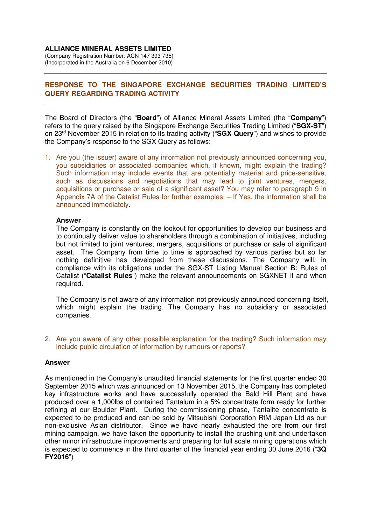## **ALLIANCE MINERAL ASSETS LIMITED**

(Company Registration Number: ACN 147 393 735) (Incorporated in the Australia on 6 December 2010)

# **RESPONSE TO THE SINGAPORE EXCHANGE SECURITIES TRADING LIMITED'S QUERY REGARDING TRADING ACTIVITY**

The Board of Directors (the "**Board**") of Alliance Mineral Assets Limited (the "**Company**") refers to the query raised by the Singapore Exchange Securities Trading Limited ("**SGX-ST**") on 23rd November 2015 in relation to its trading activity ("**SGX Query**") and wishes to provide the Company's response to the SGX Query as follows:

1. Are you (the issuer) aware of any information not previously announced concerning you, you subsidiaries or associated companies which, if known, might explain the trading? Such information may include events that are potentially material and price-sensitive, such as discussions and negotiations that may lead to joint ventures, mergers, acquisitions or purchase or sale of a significant asset? You may refer to paragraph 9 in Appendix 7A of the Catalist Rules for further examples. – If Yes, the information shall be announced immediately.

### **Answer**

The Company is constantly on the lookout for opportunities to develop our business and to continually deliver value to shareholders through a combination of initiatives, including but not limited to joint ventures, mergers, acquisitions or purchase or sale of significant asset. The Company from time to time is approached by various parties but so far nothing definitive has developed from these discussions. The Company will, in compliance with its obligations under the SGX-ST Listing Manual Section B: Rules of Catalist ("**Catalist Rules**") make the relevant announcements on SGXNET if and when required.

The Company is not aware of any information not previously announced concerning itself, which might explain the trading. The Company has no subsidiary or associated companies.

2. Are you aware of any other possible explanation for the trading? Such information may include public circulation of information by rumours or reports?

## **Answer**

As mentioned in the Company's unaudited financial statements for the first quarter ended 30 September 2015 which was announced on 13 November 2015, the Company has completed key infrastructure works and have successfully operated the Bald Hill Plant and have produced over a 1,000lbs of contained Tantalum in a 5% concentrate form ready for further refining at our Boulder Plant. During the commissioning phase, Tantalite concentrate is expected to be produced and can be sold by Mitsubishi Corporation RtM Japan Ltd as our non-exclusive Asian distributor. Since we have nearly exhausted the ore from our first mining campaign, we have taken the opportunity to install the crushing unit and undertaken other minor infrastructure improvements and preparing for full scale mining operations which is expected to commence in the third quarter of the financial year ending 30 June 2016 ("**3Q FY2016**")